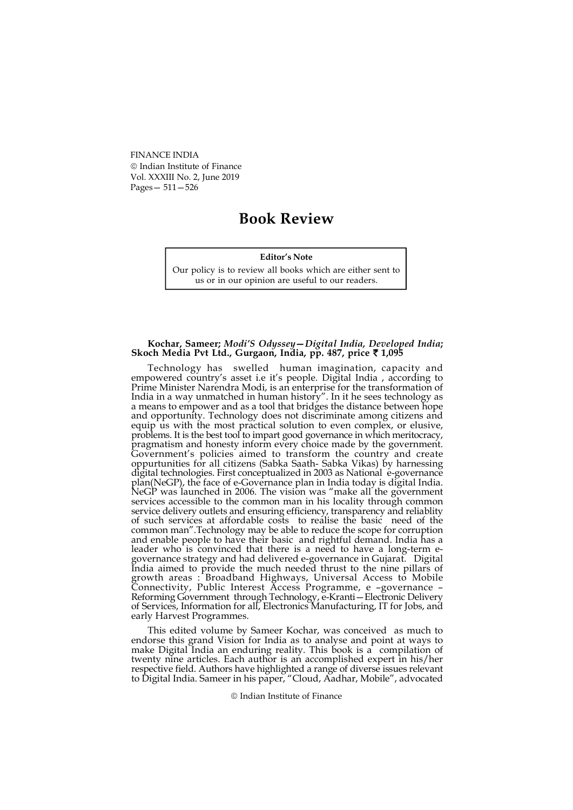FINANCE INDIA Indian Institute of Finance Vol. XXXIII No. 2, June 2019 Pages— 511—526

# Book Review

## Editor's Note

Our policy is to review all books which are either sent to us or in our opinion are useful to our readers.

## Kochar, Sameer; Modi'S Odyssey—Digital India, Developed India; Skoch Media Pvt Ltd., Gurgaon, India, pp. 487, price  $\bar{\tau}$  1,095

Technology has swelled human imagination, capacity and empowered country's asset i.e it's people. Digital India , according to Prime Minister Narendra Modi, is an enterprise for the transformation of India in a way unmatched in human history". In it he sees technology as a means to empower and as a tool that bridges the distance between hope and opportunity. Technology does not discriminate among citizens and equip us with the most practical solution to even complex, or elusive, problems. It is the best tool to impart good governance in which meritocracy, pragmatism and honesty inform every choice made by the government. Government's policies aimed to transform the country and create oppurtunities for all citizens (Sabka Saath- Sabka Vikas) by harnessing digital technologies. First conceptualized in 2003 as National e-governance plan(NeGP), the face of e-Governance plan in India today is digital India. NeGP was launched in 2006. The vision was "make all the government services accessible to the common man in his locality through common service delivery outlets and ensuring efficiency, transparency and reliablity of such services at affordable costs to realise the basic need of the common man".Technology may be able to reduce the scope for corruption and enable people to have their basic and rightful demand. India has a leader who is convinced that there is a need to have a long-term egovernance strategy and had delivered e-governance in Gujarat. Digital India aimed to provide the much needed thrust to the nine pillars of growth areas : Broadband Highways, Universal Access to Mobile Connectivity, Public Interest Access Programme, e –governance – Reforming Government through Technology, e-Kranti—Electronic Delivery of Services, Information for all, Electronics Manufacturing, IT for Jobs, and early Harvest Programmes.

This edited volume by Sameer Kochar, was conceived as much to endorse this grand Vision for India as to analyse and point at ways to make Digital India an enduring reality. This book is a compilation of twenty nine articles. Each author is an accomplished expert in his/her respective field. Authors have highlighted a range of diverse issues relevant to Digital India. Sameer in his paper, "Cloud, Aadhar, Mobile", advocated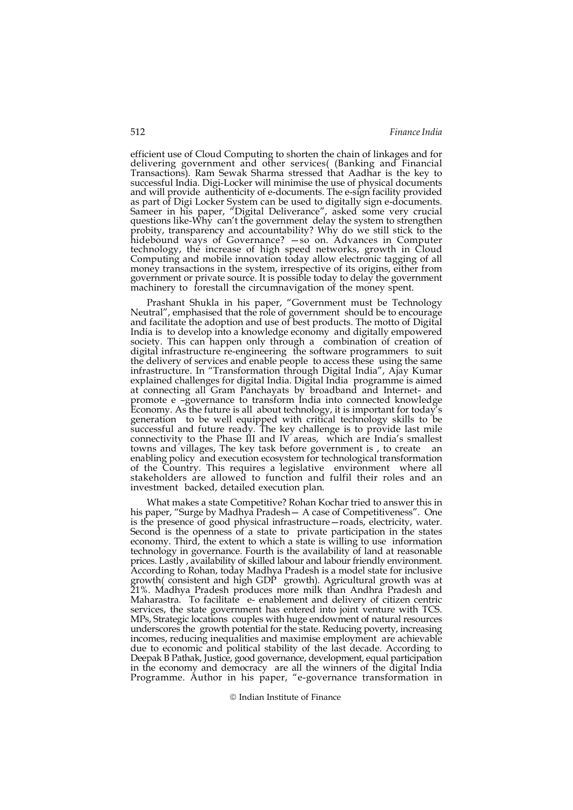efficient use of Cloud Computing to shorten the chain of linkages and for delivering government and other services( (Banking and Financial Transactions). Ram Sewak Sharma stressed that Aadhar is the key to successful India. Digi-Locker will minimise the use of physical documents and will provide authenticity of e-documents. The e-sign facility provided as part of Digi Locker System can be used to digitally sign e-documents. Sameer in his paper, "Digital Deliverance", asked some very crucial questions like-Why can't the government delay the system to strengthen probity, transparency and accountability? Why do we still stick to the hidebound ways of Governance? —so on. Advances in Computer technology, the increase of high speed networks, growth in Cloud Computing and mobile innovation today allow electronic tagging of all money transactions in the system, irrespective of its origins, either from government or private source. It is possible today to delay the government machinery to forestall the circumnavigation of the money spent.

Prashant Shukla in his paper, "Government must be Technology Neutral", emphasised that the role of government should be to encourage and facilitate the adoption and use of best products. The motto of Digital India is to develop into a knowledge economy and digitally empowered society. This can happen only through a combination of creation of digital infrastructure re-engineering the software programmers to suit the delivery of services and enable people to access these using the same infrastructure. In "Transformation through Digital India", Ajay Kumar explained challenges for digital India. Digital India programme is aimed at connecting all Gram Panchayats by broadband and Internet- and promote e –governance to transform India into connected knowledge Economy. As the future is all about technology, it is important for today's generation to be well equipped with critical technology skills to be successful and future ready. The key challenge is to provide last mile connectivity to the Phase III and IV areas, which are India's smallest towns and villages, The key task before government is , to create an enabling policy and execution ecosystem for technological transformation of the Country. This requires a legislative environment where all stakeholders are allowed to function and fulfil their roles and an investment backed, detailed execution plan.

What makes a state Competitive? Rohan Kochar tried to answer this in his paper, "Surge by Madhya Pradesh - A case of Competitiveness". One is the presence of good physical infrastructure—roads, electricity, water. Second is the openness of a state to private participation in the states economy. Third, the extent to which a state is willing to use information technology in governance. Fourth is the availability of land at reasonable prices. Lastly , availability of skilled labour and labour friendly environment. According to Rohan, today Madhya Pradesh is a model state for inclusive growth( consistent and high GDP growth). Agricultural growth was at 21%. Madhya Pradesh produces more milk than Andhra Pradesh and Maharastra. To facilitate e- enablement and delivery of citizen centric services, the state government has entered into joint venture with TCS. MPs, Strategic locations couples with huge endowment of natural resources underscores the growth potential for the state. Reducing poverty, increasing incomes, reducing inequalities and maximise employment are achievable due to economic and political stability of the last decade. According to Deepak B Pathak, Justice, good governance, development, equal participation in the economy and democracy are all the winners of the digital India Programme. Author in his paper, "e-governance transformation in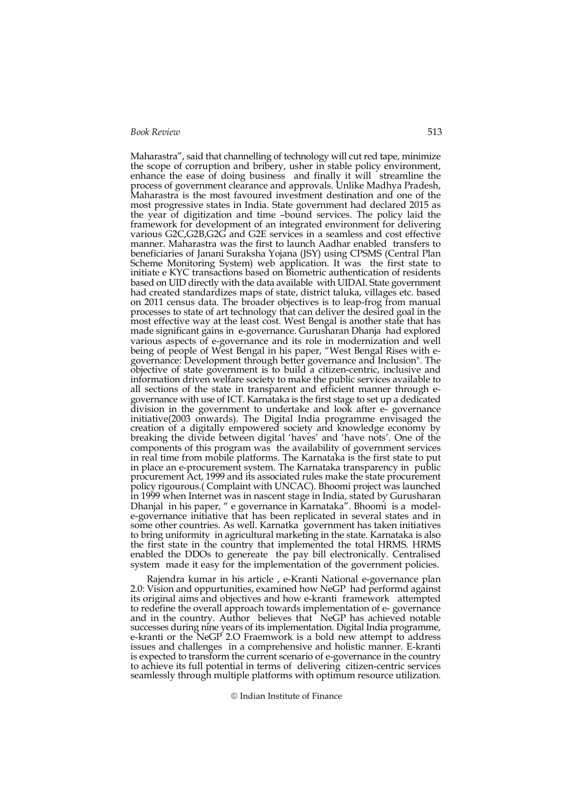Maharastra", said that channelling of technology will cut red tape, minimize the scope of corruption and bribery, usher in stable policy environment, enhance the ease of doing business and finally it will streamline the process of government clearance and approvals. Unlike Madhya Pradesh, Maharastra is the most favoured investment destination and one of the most progressive states in India. State government had declared 2015 as the year of digitization and time –bound services. The policy laid the framework for development of an integrated environment for delivering various G2C,G2B,G2G and G2E services in a seamless and cost effective manner. Maharastra was the first to launch Aadhar enabled transfers to beneficiaries of Janani Suraksha Yojana (JSY) using CPSMS (Central Plan Scheme Monitoring System) web application. It was the first state to initiate e KYC transactions based on Biometric authentication of residents based on UID directly with the data available with UIDAI. State government had created standardizes maps of state, district taluka, villages etc. based on 2011 census data. The broader objectives is to leap-frog from manual processes to state of art technology that can deliver the desired goal in the most effective way at the least cost. West Bengal is another state that has made significant gains in e-governance. Gurusharan Dhanja had explored various aspects of e-governance and its role in modernization and well being of people of West Bengal in his paper, "West Bengal Rises with egovernance: Development through better governance and Inclusion". The objective of state government is to build a citizen-centric, inclusive and information driven welfare society to make the public services available to all sections of the state in transparent and efficient manner through egovernance with use of ICT. Karnataka is the first stage to set up a dedicated division in the government to undertake and look after e- governance initiative(2003 onwards). The Digital India programme envisaged the creation of a digitally empowered society and knowledge economy by breaking the divide between digital 'haves' and 'have nots'. One of the components of this program was the availability of government services in real time from mobile platforms. The Karnataka is the first state to put in place an e-procurement system. The Karnataka transparency in public procurement Act, 1999 and its associated rules make the state procurement policy rigourous.( Complaint with UNCAC). Bhoomi project was launched in 1999 when Internet was in nascent stage in India, stated by Gurusharan Dhanjal in his paper, " e governance in Karnataka". Bhoomi is a modele-governance initiative that has been replicated in several states and in some other countries. As well. Karnatka government has taken initiatives to bring uniformity in agricultural marketing in the state. Karnataka is also the first state in the country that implemented the total HRMS. HRMS enabled the DDOs to genereate the pay bill electronically. Centralised system made it easy for the implementation of the government policies.

Rajendra kumar in his article , e-Kranti National e-governance plan 2.0: Vision and oppurtunities, examined how NeGP had performd against its original aims and objectives and how e-kranti framework attempted to redefine the overall approach towards implementation of e- governance and in the country. Author believes that NeGP has achieved notable successes during nine years of its implementation. Digital India programme, e-kranti or the NeGP 2.O Fraemwork is a bold new attempt to address issues and challenges in a comprehensive and holistic manner. E-kranti is expected to transform the current scenario of e-governance in the country to achieve its full potential in terms of delivering citizen-centric services seamlessly through multiple platforms with optimum resource utilization.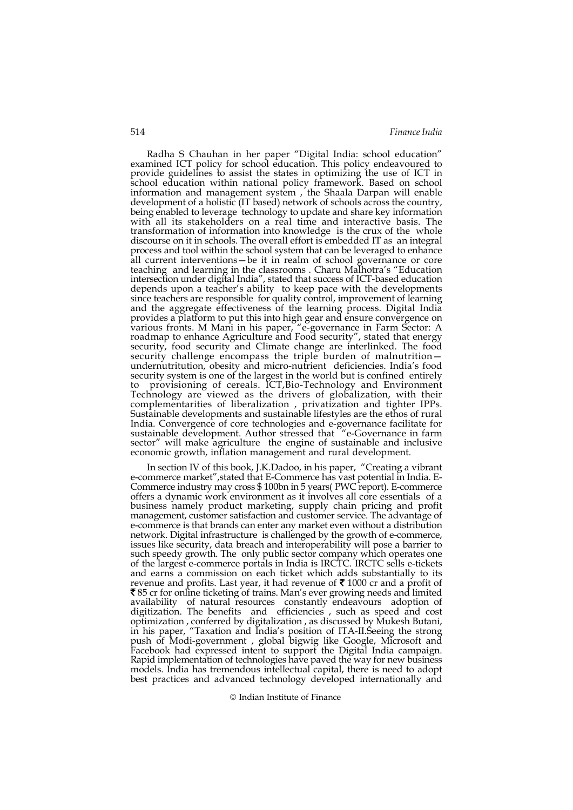Radha S Chauhan in her paper "Digital India: school education" examined ICT policy for school education. This policy endeavoured to provide guidelines to assist the states in optimizing the use of ICT in school education within national policy framework. Based on school information and management system , the Shaala Darpan will enable development of a holistic (IT based) network of schools across the country, being enabled to leverage technology to update and share key information with all its stakeholders on a real time and interactive basis. The transformation of information into knowledge is the crux of the whole discourse on it in schools. The overall effort is embedded IT as an integral process and tool within the school system that can be leveraged to enhance all current interventions—be it in realm of school governance or core teaching and learning in the classrooms . Charu Malhotra's "Education intersection under digital India", stated that success of ICT-based education depends upon a teacher's ability to keep pace with the developments since teachers are responsible for quality control, improvement of learning and the aggregate effectiveness of the learning process. Digital India provides a platform to put this into high gear and ensure convergence on various fronts. M Mani in his paper, "e-governance in Farm Sector: A roadmap to enhance Agriculture and Food security", stated that energy security, food security and Climate change are interlinked. The food security challenge encompass the triple burden of malnutrition undernutritution, obesity and micro-nutrient deficiencies. India's food security system is one of the largest in the world but is confined entirely to provisioning of cereals. ICT,Bio-Technology and Environment Technology are viewed as the drivers of globalization, with their complementarities of liberalization , privatization and tighter IPPs. Sustainable developments and sustainable lifestyles are the ethos of rural India. Convergence of core technologies and e-governance facilitate for sustainable development. Author stressed that "e-Governance in farm sector" will make agriculture the engine of sustainable and inclusive economic growth, inflation management and rural development.

In section IV of this book, J.K.Dadoo, in his paper, "Creating a vibrant e-commerce market",stated that E-Commerce has vast potential in India. E-Commerce industry may cross \$ 100bn in 5 years( PWC report). E-commerce offers a dynamic work environment as it involves all core essentials of a business namely product marketing, supply chain pricing and profit management, customer satisfaction and customer service. The advantage of e-commerce is that brands can enter any market even without a distribution network. Digital infrastructure is challenged by the growth of e-commerce, issues like security, data breach and interoperability will pose a barrier to such speedy growth. The only public sector company which operates one of the largest e-commerce portals in India is IRCTC. IRCTC sells e-tickets and earns a commission on each ticket which adds substantially to its revenue and profits. Last year, it had revenue of  $\bar{\mathfrak{c}}$  1000 cr and a profit of 85 cr for online ticketing of trains. Man's ever growing needs and limited availability of natural resources constantly endeavours adoption of digitization. The benefits and efficiencies , such as speed and cost optimization , conferred by digitalization , as discussed by Mukesh Butani, in his paper, "Taxation and India's position of ITA-II.Seeing the strong push of Modi-government , global bigwig like Google, Microsoft and Facebook had expressed intent to support the Digital India campaign. Rapid implementation of technologies have paved the way for new business models. India has tremendous intellectual capital, there is need to adopt best practices and advanced technology developed internationally and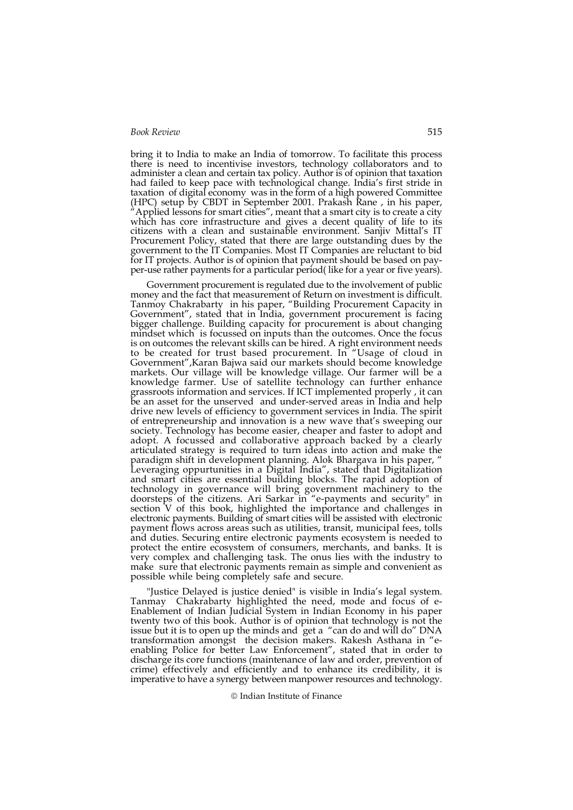bring it to India to make an India of tomorrow. To facilitate this process there is need to incentivise investors, technology collaborators and to administer a clean and certain tax policy. Author is of opinion that taxation had failed to keep pace with technological change. India's first stride in taxation of digital economy was in the form of a high powered Committee (HPC) setup by CBDT in September 2001. Prakash Rane , in his paper, Applied lessons for smart cities", meant that a smart city is to create a city which has core infrastructure and gives a decent quality of life to its citizens with a clean and sustainable environment. Sanjiv Mittal's IT Procurement Policy, stated that there are large outstanding dues by the government to the IT Companies. Most IT Companies are reluctant to bid for IT projects. Author is of opinion that payment should be based on payper-use rather payments for a particular period( like for a year or five years).

Government procurement is regulated due to the involvement of public money and the fact that measurement of Return on investment is difficult. Tanmoy Chakrabarty in his paper, "Building Procurement Capacity in Government", stated that in India, government procurement is facing bigger challenge. Building capacity for procurement is about changing mindset which is focussed on inputs than the outcomes. Once the focus is on outcomes the relevant skills can be hired. A right environment needs to be created for trust based procurement. In "Usage of cloud in Government",Karan Bajwa said our markets should become knowledge markets. Our village will be knowledge village. Our farmer will be a knowledge farmer. Use of satellite technology can further enhance grassroots information and services. If ICT implemented properly , it can be an asset for the unserved and under-served areas in India and help drive new levels of efficiency to government services in India. The spirit of entrepreneurship and innovation is a new wave that's sweeping our society. Technology has become easier, cheaper and faster to adopt and adopt. A focussed and collaborative approach backed by a clearly articulated strategy is required to turn ideas into action and make the paradigm shift in development planning. Alok Bhargava in his paper, " Leveraging oppurtunities in a Digital India", stated that Digitalization and smart cities are essential building blocks. The rapid adoption of technology in governance will bring government machinery to the doorsteps of the citizens. Ari Sarkar in "e-payments and security" in section V of this book, highlighted the importance and challenges in electronic payments. Building of smart cities will be assisted with electronic payment flows across areas such as utilities, transit, municipal fees, tolls and duties. Securing entire electronic payments ecosystem is needed to protect the entire ecosystem of consumers, merchants, and banks. It is very complex and challenging task. The onus lies with the industry to make sure that electronic payments remain as simple and convenient as possible while being completely safe and secure.

"Justice Delayed is justice denied" is visible in India's legal system. Tanmay Chakrabarty highlighted the need, mode and focus of e-Enablement of Indian Judicial System in Indian Economy in his paper twenty two of this book. Author is of opinion that technology is not the issue but it is to open up the minds and get a "can do and will do" DNA transformation amongst the decision makers. Rakesh Asthana in "eenabling Police for better Law Enforcement", stated that in order to discharge its core functions (maintenance of law and order, prevention of crime) effectively and efficiently and to enhance its credibility, it is imperative to have a synergy between manpower resources and technology.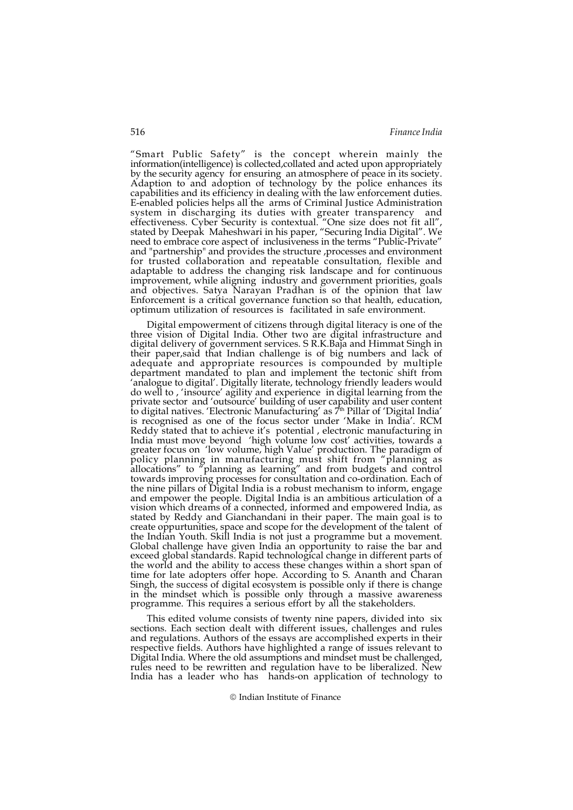"Smart Public Safety" is the concept wherein mainly the information(intelligence) is collected,collated and acted upon appropriately by the security agency for ensuring an atmosphere of peace in its society. Adaption to and adoption of technology by the police enhances its capabilities and its efficiency in dealing with the law enforcement duties. E-enabled policies helps all the arms of Criminal Justice Administration system in discharging its duties with greater transparency and effectiveness. Cyber Security is contextual. "One size does not fit all", stated by Deepak Maheshwari in his paper, "Securing India Digital". We need to embrace core aspect of inclusiveness in the terms "Public-Private" and "partnership" and provides the structure , processes and environment for trusted collaboration and repeatable consultation, flexible and adaptable to address the changing risk landscape and for continuous improvement, while aligning industry and government priorities, goals and objectives. Satya Narayan Pradhan is of the opinion that law Enforcement is a critical governance function so that health, education, optimum utilization of resources is facilitated in safe environment.

Digital empowerment of citizens through digital literacy is one of the three vision of Digital India. Other two are digital infrastructure and digital delivery of government services. S R.K.Baja and Himmat Singh in their paper,said that Indian challenge is of big numbers and lack of adequate and appropriate resources is compounded by multiple department mandated to plan and implement the tectonic shift from 'analogue to digital'. Digitally literate, technology friendly leaders would do well to , 'insource' agility and experience in digital learning from the private sector and 'outsource' building of user capability and user content to digital natives. 'Electronic Manufacturing' as 7<sup>th</sup> Pillar of 'Digital India' is recognised as one of the focus sector under 'Make in India'. RCM Reddy stated that to achieve it's potential , electronic manufacturing in India must move beyond 'high volume low cost' activities, towards a greater focus on 'low volume, high Value' production. The paradigm of policy planning in manufacturing must shift from "planning as allocations" to "planning as learning" and from budgets and control towards improving processes for consultation and co-ordination. Each of the nine pillars of Digital India is a robust mechanism to inform, engage and empower the people. Digital India is an ambitious articulation of a vision which dreams of a connected, informed and empowered India, as stated by Reddy and Gianchandani in their paper. The main goal is to create oppurtunities, space and scope for the development of the talent of the Indian Youth. Skill India is not just a programme but a movement. Global challenge have given India an opportunity to raise the bar and exceed global standards. Rapid technological change in different parts of the world and the ability to access these changes within a short span of time for late adopters offer hope. According to S. Ananth and Charan Singh, the success of digital ecosystem is possible only if there is change in the mindset which is possible only through a massive awareness programme. This requires a serious effort by all the stakeholders.

This edited volume consists of twenty nine papers, divided into six sections. Each section dealt with different issues, challenges and rules and regulations. Authors of the essays are accomplished experts in their respective fields. Authors have highlighted a range of issues relevant to Digital India. Where the old assumptions and mindset must be challenged, rules need to be rewritten and regulation have to be liberalized. New India has a leader who has hands-on application of technology to

<sup>©</sup> Indian Institute of Finance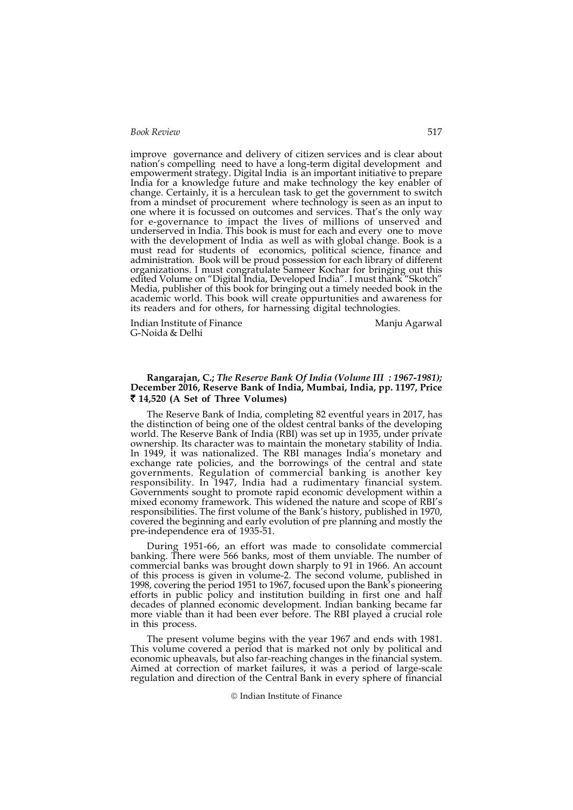improve governance and delivery of citizen services and is clear about nation's compelling need to have a long-term digital development and empowerment strategy. Digital India is an important initiative to prepare India for a knowledge future and make technology the key enabler of change. Certainly, it is a herculean task to get the government to switch from a mindset of procurement where technology is seen as an input to one where it is focussed on outcomes and services. That's the only way for e-governance to impact the lives of millions of unserved and underserved in India. This book is must for each and every one to move with the development of India as well as with global change. Book is a must read for students of economics, political science, finance and administration. Book will be proud possession for each library of different organizations. I must congratulate Sameer Kochar for bringing out this edited Volume on "Digital India, Developed India". I must thank "Skotch" Media, publisher of this book for bringing out a timely needed book in the academic world. This book will create oppurtunities and awareness for its readers and for others, for harnessing digital technologies.

Indian Institute of Finance Manju Agarwal G-Noida & Delhi

# Rangarajan, C.; The Reserve Bank Of India (Volume III : 1967-1981); December 2016, Reserve Bank of India, Mumbai, India, pp. 1197, Price 14,520 (A Set of Three Volumes)

The Reserve Bank of India, completing 82 eventful years in 2017, has the distinction of being one of the oldest central banks of the developing world. The Reserve Bank of India (RBI) was set up in 1935, under private ownership. Its character was to maintain the monetary stability of India. In 1949, it was nationalized. The RBI manages India's monetary and exchange rate policies, and the borrowings of the central and state governments. Regulation of commercial banking is another key responsibility. In 1947, India had a rudimentary financial system. Governments sought to promote rapid economic development within a mixed economy framework. This widened the nature and scope of RBI's responsibilities. The first volume of the Bank's history, published in 1970, covered the beginning and early evolution of pre planning and mostly the pre-independence era of 1935-51.

During 1951-66, an effort was made to consolidate commercial banking. There were 566 banks, most of them unviable. The number of commercial banks was brought down sharply to 91 in 1966. An account of this process is given in volume-2. The second volume, published in 1998, covering the period 1951 to 1967, focused upon the Bank's pioneering efforts in public policy and institution building in first one and half decades of planned economic development. Indian banking became far more viable than it had been ever before. The RBI played a crucial role in this process.

The present volume begins with the year 1967 and ends with 1981. This volume covered a period that is marked not only by political and economic upheavals, but also far-reaching changes in the financial system. Aimed at correction of market failures, it was a period of large-scale regulation and direction of the Central Bank in every sphere of financial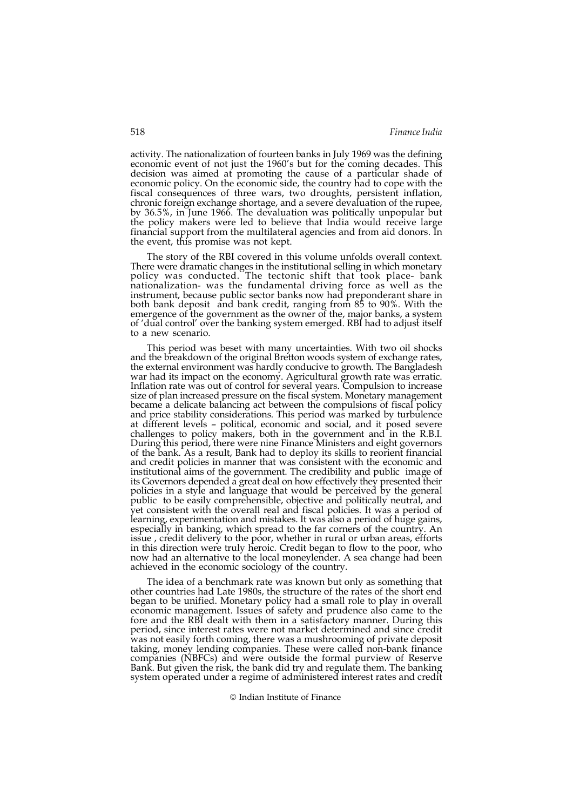activity. The nationalization of fourteen banks in July 1969 was the defining economic event of not just the 1960's but for the coming decades. This decision was aimed at promoting the cause of a particular shade of economic policy. On the economic side, the country had to cope with the fiscal consequences of three wars, two droughts, persistent inflation, chronic foreign exchange shortage, and a severe devaluation of the rupee, by 36.5%, in June 1966. The devaluation was politically unpopular but the policy makers were led to believe that India would receive large financial support from the multilateral agencies and from aid donors. In the event, this promise was not kept.

The story of the RBI covered in this volume unfolds overall context. There were dramatic changes in the institutional selling in which monetary policy was conducted. The tectonic shift that took place- bank nationalization- was the fundamental driving force as well as the instrument, because public sector banks now had preponderant share in both bank deposit and bank credit, ranging from 85 to 90%. With the emergence of the government as the owner of the, major banks, a system of 'dual control' over the banking system emerged. RBI had to adjust itself to a new scenario.

This period was beset with many uncertainties. With two oil shocks and the breakdown of the original Bretton woods system of exchange rates, the external environment was hardly conducive to growth. The Bangladesh war had its impact on the economy. Agricultural growth rate was erratic. Inflation rate was out of control for several years. Compulsion to increase size of plan increased pressure on the fiscal system. Monetary management became a delicate balancing act between the compulsions of fiscal policy and price stability considerations. This period was marked by turbulence at different levels – political, economic and social, and it posed severe challenges to policy makers, both in the government and in the R.B.I. During this period, there were nine Finance Ministers and eight governors of the bank. As a result, Bank had to deploy its skills to reorient financial and credit policies in manner that was consistent with the economic and institutional aims of the government. The credibility and public image of its Governors depended a great deal on how effectively they presented their policies in a style and language that would be perceived by the general public to be easily comprehensible, objective and politically neutral, and yet consistent with the overall real and fiscal policies. It was a period of learning, experimentation and mistakes. It was also a period of huge gains, especially in banking, which spread to the far corners of the country. An issue , credit delivery to the poor, whether in rural or urban areas, efforts in this direction were truly heroic. Credit began to flow to the poor, who now had an alternative to the local moneylender. A sea change had been achieved in the economic sociology of the country.

The idea of a benchmark rate was known but only as something that other countries had Late 1980s, the structure of the rates of the short end began to be unified. Monetary policy had a small role to play in overall economic management. Issues of safety and prudence also came to the fore and the RBI dealt with them in a satisfactory manner. During this period, since interest rates were not market determined and since credit was not easily forth coming, there was a mushrooming of private deposit taking, money lending companies. These were called non-bank finance companies (NBFCs) and were outside the formal purview of Reserve Bank. But given the risk, the bank did try and regulate them. The banking system operated under a regime of administered interest rates and credit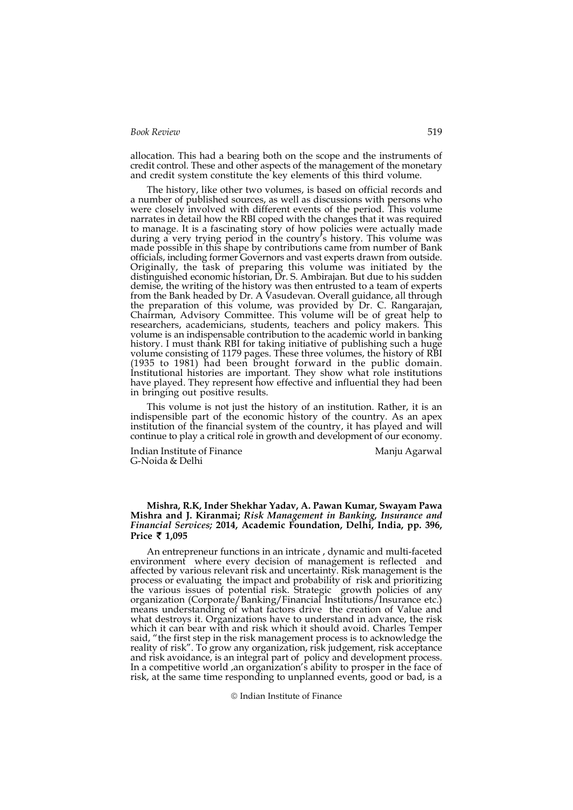allocation. This had a bearing both on the scope and the instruments of credit control. These and other aspects of the management of the monetary and credit system constitute the key elements of this third volume.

The history, like other two volumes, is based on official records and a number of published sources, as well as discussions with persons who were closely involved with different events of the period. This volume narrates in detail how the RBI coped with the changes that it was required to manage. It is a fascinating story of how policies were actually made during a very trying period in the country's history. This volume was made possible in this shape by contributions came from number of Bank officials, including former Governors and vast experts drawn from outside. Originally, the task of preparing this volume was initiated by the distinguished economic historian, Dr. S. Ambirajan. But due to his sudden demise, the writing of the history was then entrusted to a team of experts from the Bank headed by Dr. A Vasudevan. Overall guidance, all through the preparation of this volume, was provided by Dr. C. Rangarajan, Chairman, Advisory Committee. This volume will be of great help to researchers, academicians, students, teachers and policy makers. This volume is an indispensable contribution to the academic world in banking history. I must thank RBI for taking initiative of publishing such a huge volume consisting of 1179 pages. These three volumes, the history of RBI (1935 to 1981) had been brought forward in the public domain. Institutional histories are important. They show what role institutions have played. They represent how effective and influential they had been in bringing out positive results.

This volume is not just the history of an institution. Rather, it is an indispensible part of the economic history of the country. As an apex institution of the financial system of the country, it has played and will continue to play a critical role in growth and development of our economy.

Indian Institute of Finance Manju Agarwal G-Noida & Delhi

#### Mishra, R.K, Inder Shekhar Yadav, A. Pawan Kumar, Swayam Pawa Mishra and J. Kiranmai; Risk Management in Banking, Insurance and Financial Services; 2014, Academic Foundation, Delhi, India, pp. 396, Price  $\bar{\tau}$  1,095

An entrepreneur functions in an intricate , dynamic and multi-faceted environment where every decision of management is reflected and affected by various relevant risk and uncertainty. Risk management is the process or evaluating the impact and probability of risk and prioritizing the various issues of potential risk. Strategic growth policies of any organization (Corporate/Banking/Financial Institutions/Insurance etc.) means understanding of what factors drive the creation of Value and what destroys it. Organizations have to understand in advance, the risk which it can bear with and risk which it should avoid. Charles Temper said, "the first step in the risk management process is to acknowledge the reality of risk". To grow any organization, risk judgement, risk acceptance and risk avoidance, is an integral part of policy and development process. In a competitive world ,an organization's ability to prosper in the face of risk, at the same time responding to unplanned events, good or bad, is a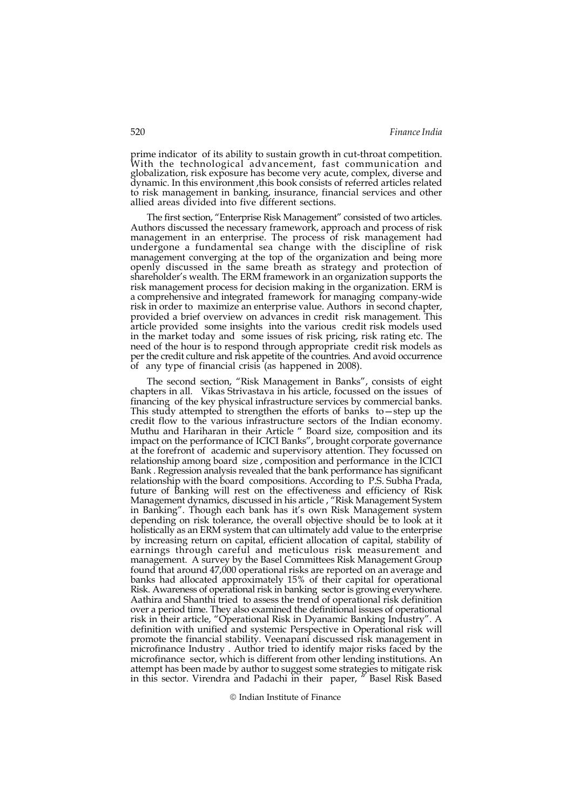prime indicator of its ability to sustain growth in cut-throat competition. With the technological advancement, fast communication and globalization, risk exposure has become very acute, complex, diverse and dynamic. In this environment ,this book consists of referred articles related to risk management in banking, insurance, financial services and other allied areas divided into five different sections.

The first section, "Enterprise Risk Management" consisted of two articles. Authors discussed the necessary framework, approach and process of risk management in an enterprise. The process of risk management had undergone a fundamental sea change with the discipline of risk management converging at the top of the organization and being more openly discussed in the same breath as strategy and protection of shareholder's wealth. The ERM framework in an organization supports the risk management process for decision making in the organization. ERM is a comprehensive and integrated framework for managing company-wide risk in order to maximize an enterprise value. Authors in second chapter, provided a brief overview on advances in credit risk management. This article provided some insights into the various credit risk models used in the market today and some issues of risk pricing, risk rating etc. The need of the hour is to respond through appropriate credit risk models as per the credit culture and risk appetite of the countries. And avoid occurrence of any type of financial crisis (as happened in 2008).

The second section, "Risk Management in Banks", consists of eight chapters in all. Vikas Strivastava in his article, focussed on the issues of financing of the key physical infrastructure services by commercial banks. This study attempted to strengthen the efforts of banks to—step up the credit flow to the various infrastructure sectors of the Indian economy. Muthu and Hariharan in their Article " Board size, composition and its impact on the performance of ICICI Banks", brought corporate governance at the forefront of academic and supervisory attention. They focussed on relationship among board size , composition and performance in the ICICI Bank . Regression analysis revealed that the bank performance has significant relationship with the board compositions. According to P.S. Subha Prada, future of Banking will rest on the effectiveness and efficiency of Risk Management dynamics, discussed in his article , "Risk Management System in Banking". Though each bank has it's own Risk Management system depending on risk tolerance, the overall objective should be to look at it holistically as an ERM system that can ultimately add value to the enterprise by increasing return on capital, efficient allocation of capital, stability of earnings through careful and meticulous risk measurement and management. A survey by the Basel Committees Risk Management Group found that around 47,000 operational risks are reported on an average and banks had allocated approximately 15% of their capital for operational Risk. Awareness of operational risk in banking sector is growing everywhere. Aathira and Shanthi tried to assess the trend of operational risk definition over a period time. They also examined the definitional issues of operational risk in their article, "Operational Risk in Dyanamic Banking Industry". A definition with unified and systemic Perspective in Operational risk will promote the financial stability. Veenapani discussed risk management in microfinance Industry . Author tried to identify major risks faced by the microfinance sector, which is different from other lending institutions. An attempt has been made by author to suggest some strategies to mitigate risk in this sector. Virendra and Padachi in their paper, " Basel Risk Based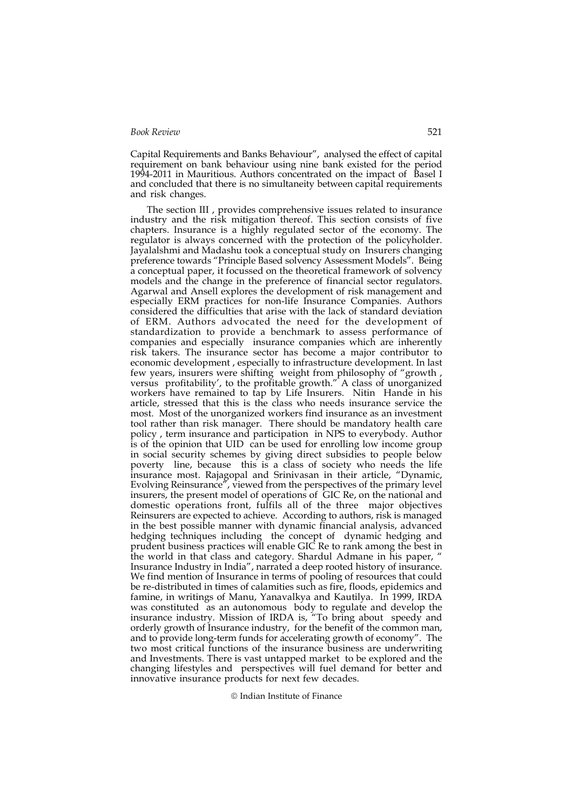Capital Requirements and Banks Behaviour", analysed the effect of capital requirement on bank behaviour using nine bank existed for the period 1994-2011 in Mauritious. Authors concentrated on the impact of Basel I and concluded that there is no simultaneity between capital requirements and risk changes.

The section III , provides comprehensive issues related to insurance industry and the risk mitigation thereof. This section consists of five chapters. Insurance is a highly regulated sector of the economy. The regulator is always concerned with the protection of the policyholder. Jayalalshmi and Madashu took a conceptual study on Insurers changing preference towards "Principle Based solvency Assessment Models". Being a conceptual paper, it focussed on the theoretical framework of solvency models and the change in the preference of financial sector regulators. Agarwal and Ansell explores the development of risk management and especially ERM practices for non-life Insurance Companies. Authors considered the difficulties that arise with the lack of standard deviation of ERM. Authors advocated the need for the development of standardization to provide a benchmark to assess performance of companies and especially insurance companies which are inherently risk takers. The insurance sector has become a major contributor to economic development , especially to infrastructure development. In last few years, insurers were shifting weight from philosophy of "growth , versus profitability', to the profitable growth." A class of unorganized workers have remained to tap by Life Insurers. Nitin Hande in his article, stressed that this is the class who needs insurance service the most. Most of the unorganized workers find insurance as an investment tool rather than risk manager. There should be mandatory health care policy , term insurance and participation in NPS to everybody. Author is of the opinion that UID can be used for enrolling low income group in social security schemes by giving direct subsidies to people below poverty line, because this is a class of society who needs the life insurance most. Rajagopal and Srinivasan in their article, "Dynamic, Evolving Reinsurance", viewed from the perspectives of the primary level insurers, the present model of operations of GIC Re, on the national and domestic operations front, fulfils all of the three major objectives Reinsurers are expected to achieve. According to authors, risk is managed in the best possible manner with dynamic financial analysis, advanced hedging techniques including the concept of dynamic hedging and prudent business practices will enable GIC Re to rank among the best in the world in that class and category. Shardul Admane in his paper, " Insurance Industry in India", narrated a deep rooted history of insurance. We find mention of Insurance in terms of pooling of resources that could be re-distributed in times of calamities such as fire, floods, epidemics and famine, in writings of Manu, Yanavalkya and Kautilya. In 1999, IRDA was constituted as an autonomous body to regulate and develop the insurance industry. Mission of IRDA is, "To bring about speedy and orderly growth of Insurance industry, for the benefit of the common man, and to provide long-term funds for accelerating growth of economy". The two most critical functions of the insurance business are underwriting and Investments. There is vast untapped market to be explored and the changing lifestyles and perspectives will fuel demand for better and innovative insurance products for next few decades.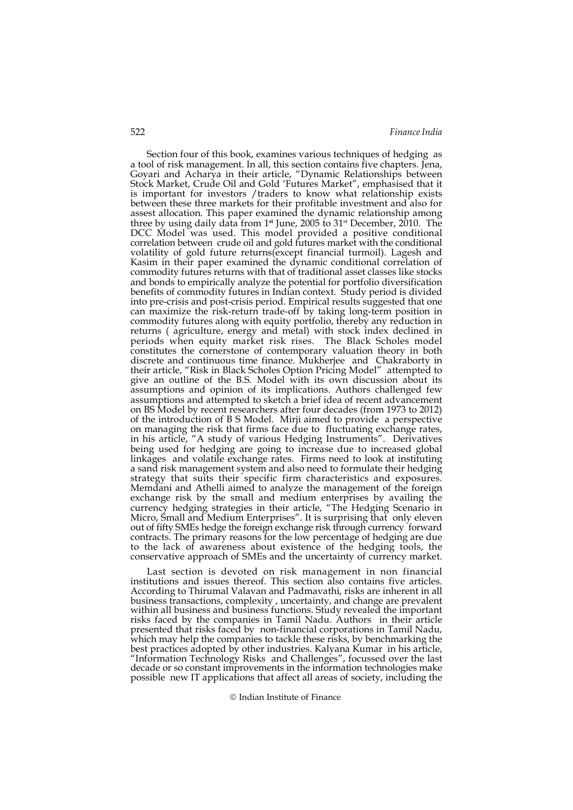Section four of this book, examines various techniques of hedging as a tool of risk management. In all, this section contains five chapters. Jena, Goyari and Acharya in their article, "Dynamic Relationships between Stock Market, Crude Oil and Gold 'Futures Market", emphasised that it is important for investors / traders to know what relationship exists between these three markets for their profitable investment and also for assest allocation. This paper examined the dynamic relationship among three by using daily data from 1st June, 2005 to 31st December, 2010. The DCC Model was used. This model provided a positive conditional correlation between crude oil and gold futures market with the conditional volatility of gold future returns(except financial turmoil). Lagesh and Kasim in their paper examined the dynamic conditional correlation of commodity futures returns with that of traditional asset classes like stocks and bonds to empirically analyze the potential for portfolio diversification benefits of commodity futures in Indian context. Study period is divided into pre-crisis and post-crisis period. Empirical results suggested that one can maximize the risk-return trade-off by taking long-term position in commodity futures along with equity portfolio, thereby any reduction in returns ( agriculture, energy and metal) with stock index declined in periods when equity market risk rises. The Black Scholes model constitutes the cornerstone of contemporary valuation theory in both discrete and continuous time finance. Mukherjee and Chakraborty in their article, "Risk in Black Scholes Option Pricing Model" attempted to give an outline of the B.S. Model with its own discussion about its assumptions and opinion of its implications. Authors challenged few assumptions and attempted to sketch a brief idea of recent advancement on BS Model by recent researchers after four decades (from 1973 to 2012) of the introduction of B S Model. Mirji aimed to provide a perspective on managing the risk that firms face due to fluctuating exchange rates, in his article, "A study of various Hedging Instruments". Derivatives being used for hedging are going to increase due to increased global linkages and volatile exchange rates. Firms need to look at instituting a sand risk management system and also need to formulate their hedging strategy that suits their specific firm characteristics and exposures. Memdani and Athelli aimed to analyze the management of the foreign exchange risk by the small and medium enterprises by availing the currency hedging strategies in their article, "The Hedging Scenario in Micro, Small and Medium Enterprises". It is surprising that only eleven out of fifty SMEs hedge the foreign exchange risk through currency forward contracts. The primary reasons for the low percentage of hedging are due to the lack of awareness about existence of the hedging tools, the conservative approach of SMEs and the uncertainty of currency market.

Last section is devoted on risk management in non financial institutions and issues thereof. This section also contains five articles. According to Thirumal Valavan and Padmavathi, risks are inherent in all business transactions, complexity , uncertainty, and change are prevalent within all business and business functions. Study revealed the important risks faced by the companies in Tamil Nadu. Authors in their article presented that risks faced by non-financial corporations in Tamil Nadu, which may help the companies to tackle these risks, by benchmarking the best practices adopted by other industries. Kalyana Kumar in his article, "Information Technology Risks and Challenges", focussed over the last decade or so constant improvements in the information technologies make possible new IT applications that affect all areas of society, including the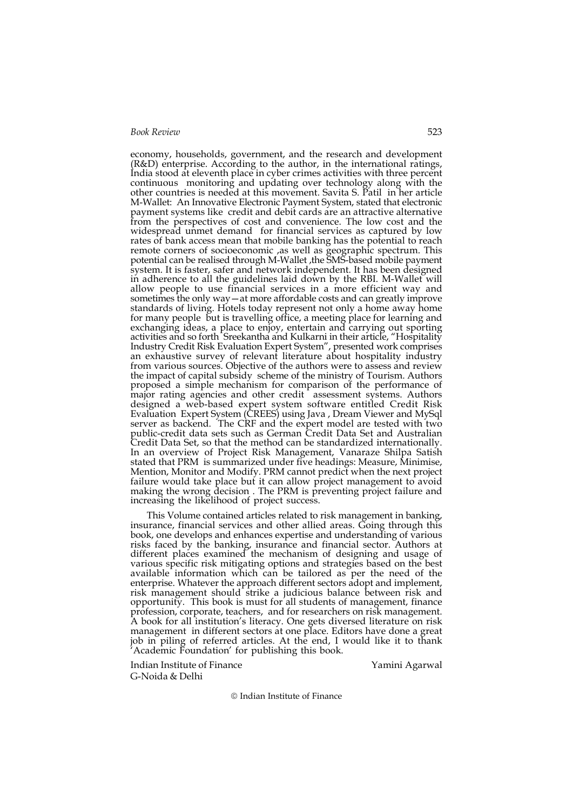economy, households, government, and the research and development (R&D) enterprise. According to the author, in the international ratings, India stood at eleventh place in cyber crimes activities with three percent continuous monitoring and updating over technology along with the other countries is needed at this movement. Savita S. Patil in her article M-Wallet: An Innovative Electronic Payment System, stated that electronic payment systems like credit and debit cards are an attractive alternative from the perspectives of cost and convenience. The low cost and the widespread unmet demand for financial services as captured by low rates of bank access mean that mobile banking has the potential to reach remote corners of socioeconomic ,as well as geographic spectrum. This potential can be realised through M-Wallet ,the SMS-based mobile payment system. It is faster, safer and network independent. It has been designed in adherence to all the guidelines laid down by the RBI. M-Wallet will allow people to use financial services in a more efficient way and sometimes the only way—at more affordable costs and can greatly improve standards of living. Hotels today represent not only a home away home for many people but is travelling office, a meeting place for learning and exchanging ideas, a place to enjoy, entertain and carrying out sporting activities and so forth Sreekantha and Kulkarni in their article, "Hospitality Industry Credit Risk Evaluation Expert System", presented work comprises an exhaustive survey of relevant literature about hospitality industry from various sources. Objective of the authors were to assess and review the impact of capital subsidy scheme of the ministry of Tourism. Authors proposed a simple mechanism for comparison of the performance of major rating agencies and other credit assessment systems. Authors designed a web-based expert system software entitled Credit Risk Evaluation Expert System (CREES) using Java , Dream Viewer and MySql server as backend. The CRF and the expert model are tested with two public-credit data sets such as German Credit Data Set and Australian Credit Data Set, so that the method can be standardized internationally. In an overview of Project Risk Management, Vanaraze Shilpa Satish stated that PRM is summarized under five headings: Measure, Minimise, Mention, Monitor and Modify. PRM cannot predict when the next project failure would take place but it can allow project management to avoid making the wrong decision . The PRM is preventing project failure and increasing the likelihood of project success.

This Volume contained articles related to risk management in banking, insurance, financial services and other allied areas. Going through this book, one develops and enhances expertise and understanding of various risks faced by the banking, insurance and financial sector. Authors at different places examined the mechanism of designing and usage of various specific risk mitigating options and strategies based on the best available information which can be tailored as per the need of the enterprise. Whatever the approach different sectors adopt and implement, risk management should strike a judicious balance between risk and opportunity. This book is must for all students of management, finance profession, corporate, teachers, and for researchers on risk management. A book for all institution's literacy. One gets diversed literature on risk management in different sectors at one place. Editors have done a great job in piling of referred articles. At the end, I would like it to thank 'Academic Foundation' for publishing this book.

Indian Institute of Finance Yamini Agarwal G-Noida & Delhi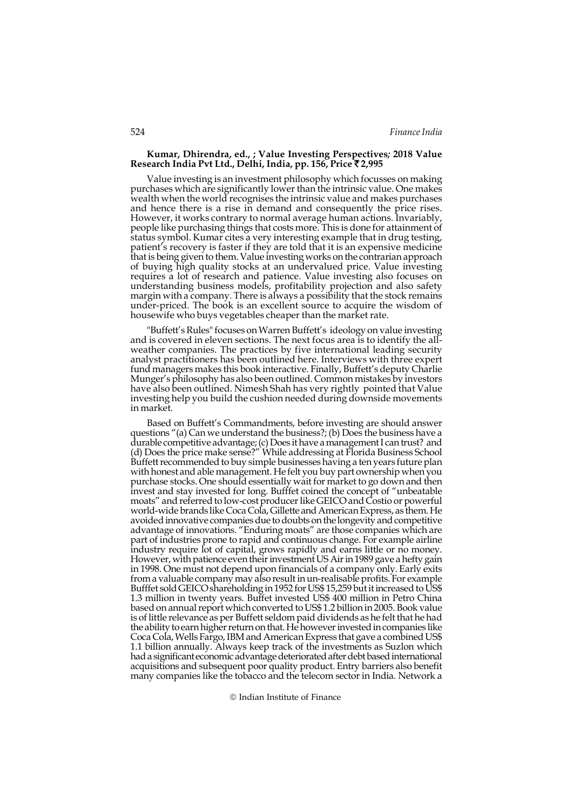#### Kumar, Dhirendra, ed., ; Value Investing Perspectives; 2018 Value Research India Pvt Ltd., Delhi, India, pp. 156, Price ₹2,995

Value investing is an investment philosophy which focusses on making purchases which are significantly lower than the intrinsic value. One makes wealth when the world recognises the intrinsic value and makes purchases and hence there is a rise in demand and consequently the price rises. However, it works contrary to normal average human actions. Invariably, people like purchasing things that costs more. This is done for attainment of status symbol. Kumar cites a very interesting example that in drug testing, patient's recovery is faster if they are told that it is an expensive medicine that is being given to them. Value investing works on the contrarian approach of buying high quality stocks at an undervalued price. Value investing requires a lot of research and patience. Value investing also focuses on understanding business models, profitability projection and also safety margin with a company. There is always a possibility that the stock remains under-priced. The book is an excellent source to acquire the wisdom of housewife who buys vegetables cheaper than the market rate.

"Buffett's Rules" focuses on Warren Buffett's ideology on value investing and is covered in eleven sections. The next focus area is to identify the allweather companies. The practices by five international leading security analyst practitioners has been outlined here. Interviews with three expert fund managers makes this book interactive. Finally, Buffett's deputy Charlie Munger's philosophy has also been outlined. Common mistakes by investors have also been outlined. Nimesh Shah has very rightly pointed that Value investing help you build the cushion needed during downside movements in market.

Based on Buffett's Commandments, before investing are should answer questions "(a) Can we understand the business?; (b) Does the business have a durable competitive advantage; (c) Does it have a management I can trust? and (d) Does the price make sense?" While addressing at Florida Business School Buffett recommended to buy simple businesses having a ten years future plan with honest and able management. He felt you buy part ownership when you purchase stocks. One should essentially wait for market to go down and then invest and stay invested for long. Bufffet coined the concept of "unbeatable moats" and referred to low-cost producer like GEICO and Costio or powerful world-wide brands like Coca Cola, Gillette and American Express, as them. He avoided innovative companies due to doubts on the longevity and competitive advantage of innovations. "Enduring moats" are those companies which are part of industries prone to rapid and continuous change. For example airline industry require lot of capital, grows rapidly and earns little or no money. However, with patience even their investment US Air in 1989 gave a hefty gain in 1998. One must not depend upon financials of a company only. Early exits from a valuable company may also result in un-realisable profits. For example Bufffet sold GEICO shareholding in 1952 for US\$ 15,259 but it increased to US\$ 1.3 million in twenty years. Buffet invested US\$ 400 million in Petro China based on annual report which converted to US\$ 1.2 billion in 2005. Book value is of little relevance as per Buffett seldom paid dividends as he felt that he had the ability to earn higher return on that. He however invested in companies like Coca Cola, Wells Fargo, IBM and American Express that gave a combined US\$ 1.1 billion annually. Always keep track of the investments as Suzlon which had a significant economic advantage deteriorated after debt based international acquisitions and subsequent poor quality product. Entry barriers also benefit many companies like the tobacco and the telecom sector in India. Network a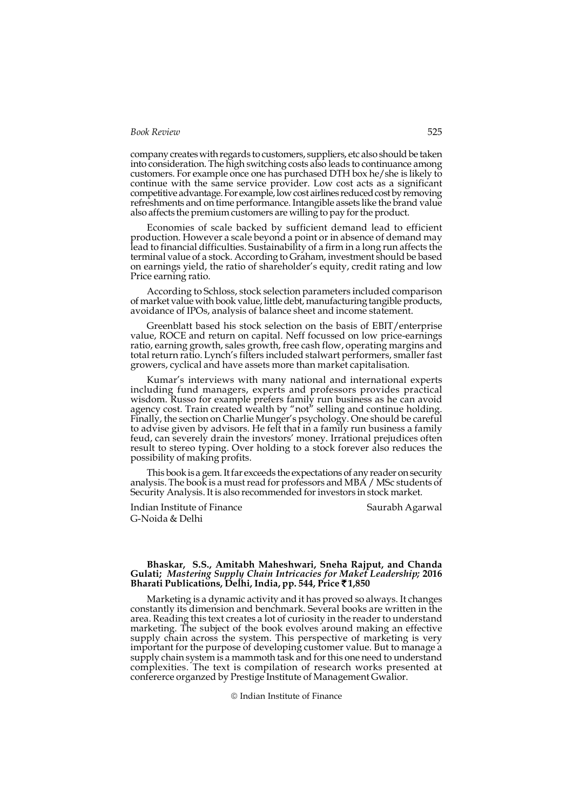company creates with regards to customers, suppliers, etc also should be taken into consideration. The high switching costs also leads to continuance among customers. For example once one has purchased DTH box he/she is likely to continue with the same service provider. Low cost acts as a significant competitive advantage. For example, low cost airlines reduced cost by removing refreshments and on time performance. Intangible assets like the brand value also affects the premium customers are willing to pay for the product.

Economies of scale backed by sufficient demand lead to efficient production. However a scale beyond a point or in absence of demand may lead to financial difficulties. Sustainability of a firm in a long run affects the terminal value of a stock. According to Graham, investment should be based on earnings yield, the ratio of shareholder's equity, credit rating and low Price earning ratio.

According to Schloss, stock selection parameters included comparison of market value with book value, little debt, manufacturing tangible products, avoidance of IPOs, analysis of balance sheet and income statement.

Greenblatt based his stock selection on the basis of EBIT/enterprise value, ROCE and return on capital. Neff focussed on low price-earnings ratio, earning growth, sales growth, free cash flow, operating margins and total return ratio. Lynch's filters included stalwart performers, smaller fast growers, cyclical and have assets more than market capitalisation.

Kumar's interviews with many national and international experts including fund managers, experts and professors provides practical wisdom. Russo for example prefers family run business as he can avoid agency cost. Train created wealth by "not" selling and continue holding. Finally, the section on Charlie Munger's psychology. One should be careful to advise given by advisors. He felt that in a family run business a family feud, can severely drain the investors' money. Irrational prejudices often result to stereo typing. Over holding to a stock forever also reduces the possibility of making profits.

This book is a gem. It far exceeds the expectations of any reader on security analysis. The book is a must read for professors and MBA / MSc students of Security Analysis. It is also recommended for investors in stock market.

Indian Institute of Finance Saurabh Agarwal G-Noida & Delhi

## Bhaskar, S.S., Amitabh Maheshwari, Sneha Rajput, and Chanda Gulati; Mastering Supply Chain Intricacies for Maket Leadership; 2016 Bharati Publications, Delhi, India, pp. 544, Price  $\bar{x}$ 1,850

Marketing is a dynamic activity and it has proved so always. It changes constantly its dimension and benchmark. Several books are written in the area. Reading this text creates a lot of curiosity in the reader to understand marketing. The subject of the book evolves around making an effective supply chain across the system. This perspective of marketing is very important for the purpose of developing customer value. But to manage a supply chain system is a mammoth task and for this one need to understand complexities. The text is compilation of research works presented at confererce organzed by Prestige Institute of Management Gwalior.